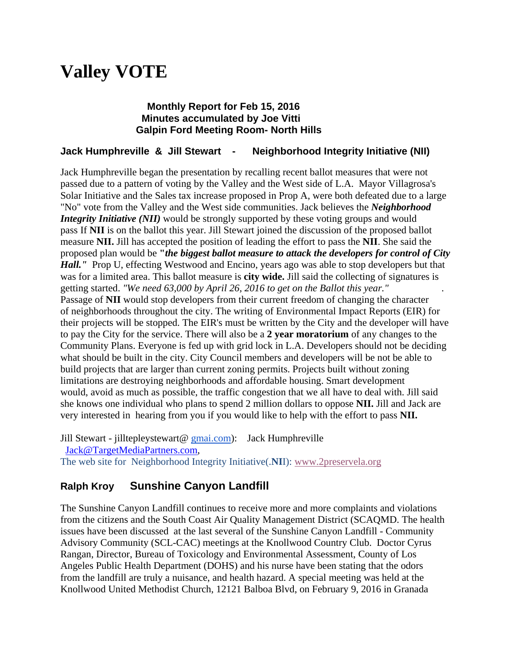# **Valley VOTE**

## **Monthly Report for Feb 15, 2016 Minutes accumulated by Joe Vitti Galpin Ford Meeting Room- North Hills**

## **Jack Humphreville & Jill Stewart - Neighborhood Integrity Initiative (NII)**

Jack Humphreville began the presentation by recalling recent ballot measures that were not passed due to a pattern of voting by the Valley and the West side of L.A. Mayor Villagrosa's Solar Initiative and the Sales tax increase proposed in Prop A, were both defeated due to a large "No" vote from the Valley and the West side communities. Jack believes the *Neighborhood Integrity Initiative (NII)* would be strongly supported by these voting groups and would pass If **NII** is on the ballot this year. Jill Stewart joined the discussion of the proposed ballot measure **NII.** Jill has accepted the position of leading the effort to pass the **NII**. She said the proposed plan would be **"***the biggest ballot measure to attack the developers for control of City Hall.*" Prop U, effecting Westwood and Encino, years ago was able to stop developers but that was for a limited area. This ballot measure is **city wide.** Jill said the collecting of signatures is getting started. *"We need 63,000 by April 26, 2016 to get on the Ballot this year."* . Passage of **NII** would stop developers from their current freedom of changing the character of neighborhoods throughout the city. The writing of Environmental Impact Reports (EIR) for their projects will be stopped. The EIR's must be written by the City and the developer will have to pay the City for the service. There will also be a **2 year moratorium** of any changes to the Community Plans. Everyone is fed up with grid lock in L.A. Developers should not be deciding what should be built in the city. City Council members and developers will be not be able to build projects that are larger than current zoning permits. Projects built without zoning limitations are destroying neighborhoods and affordable housing. Smart development would, avoid as much as possible, the traffic congestion that we all have to deal with. Jill said she knows one individual who plans to spend 2 million dollars to oppose **NII.** Jill and Jack are very interested in hearing from you if you would like to help with the effort to pass **NII.**

Jill Stewart - jilltepleystewart@ [gmai.com\)](http://gmai.com/): Jack Humphreville [Jack@TargetMediaPartners.com,](mailto:Jack@TargetMediaPartners.com) The web site for Neighborhood Integrity Initiative(.**NI**I): [www.2preservela.org](http://www.2preservela.org/)

# **Ralph Kroy Sunshine Canyon Landfill**

The Sunshine Canyon Landfill continues to receive more and more complaints and violations from the citizens and the South Coast Air Quality Management District (SCAQMD. The health issues have been discussed at the last several of the Sunshine Canyon Landfill - Community Advisory Community (SCL-CAC) meetings at the Knollwood Country Club. Doctor Cyrus Rangan, Director, Bureau of Toxicology and Environmental Assessment, County of Los Angeles Public Health Department (DOHS) and his nurse have been stating that the odors from the landfill are truly a nuisance, and health hazard. A special meeting was held at the Knollwood United Methodist Church, 12121 Balboa Blvd, on February 9, 2016 in Granada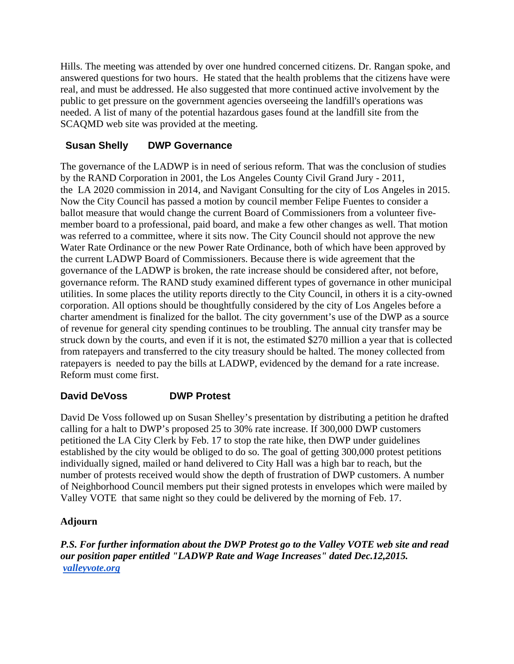Hills. The meeting was attended by over one hundred concerned citizens. Dr. Rangan spoke, and answered questions for two hours. He stated that the health problems that the citizens have were real, and must be addressed. He also suggested that more continued active involvement by the public to get pressure on the government agencies overseeing the landfill's operations was needed. A list of many of the potential hazardous gases found at the landfill site from the SCAQMD web site was provided at the meeting.

## **Susan Shelly DWP Governance**

The governance of the LADWP is in need of serious reform. That was the conclusion of studies by the RAND Corporation in 2001, the Los Angeles County Civil Grand Jury - 2011, the LA 2020 commission in 2014, and Navigant Consulting for the city of Los Angeles in 2015. Now the City Council has passed a motion by council member Felipe Fuentes to consider a ballot measure that would change the current Board of Commissioners from a volunteer fivemember board to a professional, paid board, and make a few other changes as well. That motion was referred to a committee, where it sits now. The City Council should not approve the new Water Rate Ordinance or the new Power Rate Ordinance, both of which have been approved by the current LADWP Board of Commissioners. Because there is wide agreement that the governance of the LADWP is broken, the rate increase should be considered after, not before, governance reform. The RAND study examined different types of governance in other municipal utilities. In some places the utility reports directly to the City Council, in others it is a city-owned corporation. All options should be thoughtfully considered by the city of Los Angeles before a charter amendment is finalized for the ballot. The city government's use of the DWP as a source of revenue for general city spending continues to be troubling. The annual city transfer may be struck down by the courts, and even if it is not, the estimated \$270 million a year that is collected from ratepayers and transferred to the city treasury should be halted. The money collected from ratepayers is needed to pay the bills at LADWP, evidenced by the demand for a rate increase. Reform must come first.

# **David DeVoss DWP Protest**

David De Voss followed up on Susan Shelley's presentation by distributing a petition he drafted calling for a halt to DWP's proposed 25 to 30% rate increase. If 300,000 DWP customers petitioned the LA City Clerk by Feb. 17 to stop the rate hike, then DWP under guidelines established by the city would be obliged to do so. The goal of getting 300,000 protest petitions individually signed, mailed or hand delivered to City Hall was a high bar to reach, but the number of protests received would show the depth of frustration of DWP customers. A number of Neighborhood Council members put their signed protests in envelopes which were mailed by Valley VOTE that same night so they could be delivered by the morning of Feb. 17.

## **Adjourn**

*P.S. For further information about the DWP Protest go to the Valley VOTE web site and read our position paper entitled "LADWP Rate and Wage Increases" dated Dec.12,2015. [valleyvote.org](http://valleyvote.org/)*